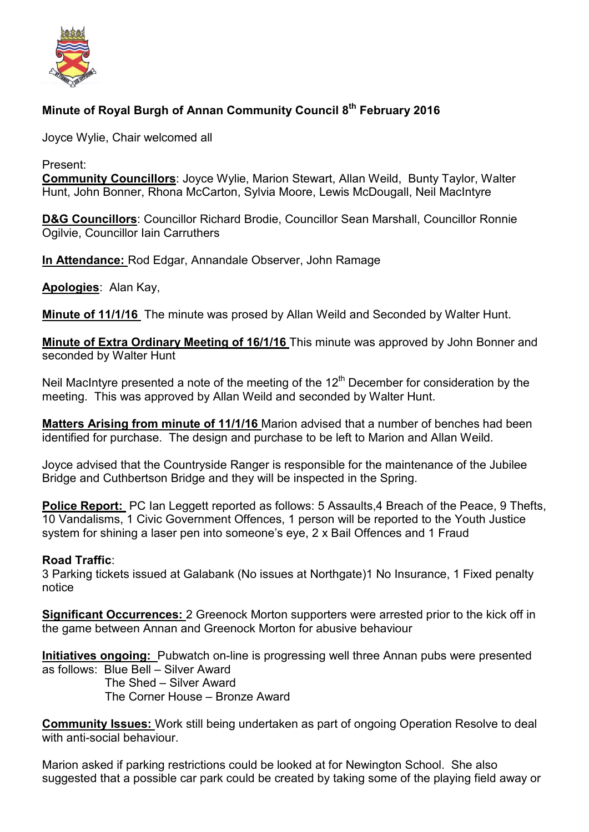

# **Minute of Royal Burgh of Annan Community Council 8th February 2016**

Joyce Wylie, Chair welcomed all

Present:

**Community Councillors**: Joyce Wylie, Marion Stewart, Allan Weild, Bunty Taylor, Walter Hunt, John Bonner, Rhona McCarton, Sylvia Moore, Lewis McDougall, Neil MacIntyre

**D&G Councillors**: Councillor Richard Brodie, Councillor Sean Marshall, Councillor Ronnie Ogilvie, Councillor Iain Carruthers

**In Attendance:** Rod Edgar, Annandale Observer, John Ramage

**Apologies**: Alan Kay,

**Minute of 11/1/16** The minute was prosed by Allan Weild and Seconded by Walter Hunt.

**Minute of Extra Ordinary Meeting of 16/1/16** This minute was approved by John Bonner and seconded by Walter Hunt

Neil MacIntyre presented a note of the meeting of the  $12<sup>th</sup>$  December for consideration by the meeting. This was approved by Allan Weild and seconded by Walter Hunt.

**Matters Arising from minute of 11/1/16** Marion advised that a number of benches had been identified for purchase. The design and purchase to be left to Marion and Allan Weild.

Joyce advised that the Countryside Ranger is responsible for the maintenance of the Jubilee Bridge and Cuthbertson Bridge and they will be inspected in the Spring.

**Police Report:** PC Ian Leggett reported as follows: 5 Assaults, 4 Breach of the Peace, 9 Thefts, 10 Vandalisms, 1 Civic Government Offences, 1 person will be reported to the Youth Justice system for shining a laser pen into someone's eye, 2 x Bail Offences and 1 Fraud

## **Road Traffic**:

3 Parking tickets issued at Galabank (No issues at Northgate)1 No Insurance, 1 Fixed penalty notice

**Significant Occurrences:** 2 Greenock Morton supporters were arrested prior to the kick off in the game between Annan and Greenock Morton for abusive behaviour

**Initiatives ongoing:** Pubwatch on-line is progressing well three Annan pubs were presented as follows: Blue Bell – Silver Award

 The Shed – Silver Award The Corner House – Bronze Award

**Community Issues:** Work still being undertaken as part of ongoing Operation Resolve to deal with anti-social behaviour.

Marion asked if parking restrictions could be looked at for Newington School. She also suggested that a possible car park could be created by taking some of the playing field away or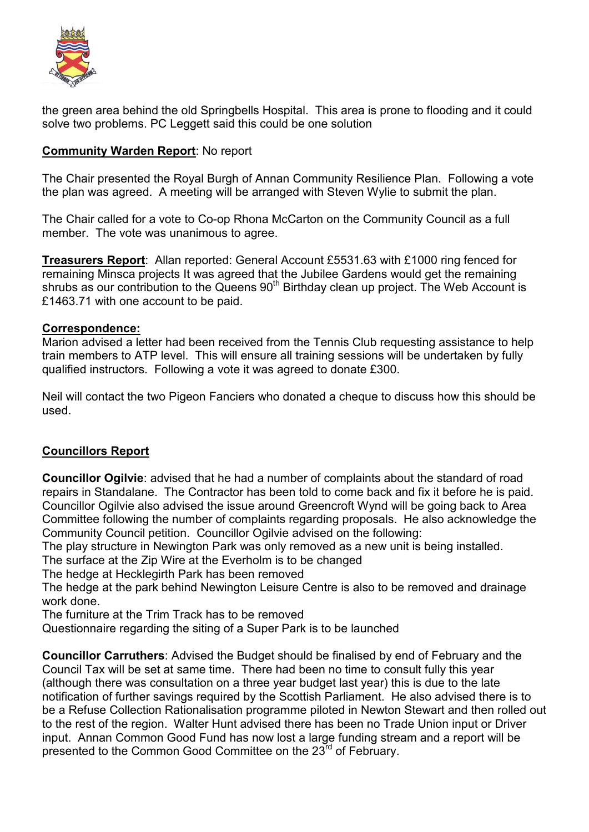

the green area behind the old Springbells Hospital. This area is prone to flooding and it could solve two problems. PC Leggett said this could be one solution

## **Community Warden Report**: No report

The Chair presented the Royal Burgh of Annan Community Resilience Plan. Following a vote the plan was agreed. A meeting will be arranged with Steven Wylie to submit the plan.

The Chair called for a vote to Co-op Rhona McCarton on the Community Council as a full member. The vote was unanimous to agree.

**Treasurers Report**: Allan reported: General Account £5531.63 with £1000 ring fenced for remaining Minsca projects It was agreed that the Jubilee Gardens would get the remaining shrubs as our contribution to the Queens  $90<sup>th</sup>$  Birthday clean up project. The Web Account is £1463.71 with one account to be paid.

### **Correspondence:**

Marion advised a letter had been received from the Tennis Club requesting assistance to help train members to ATP level. This will ensure all training sessions will be undertaken by fully qualified instructors. Following a vote it was agreed to donate £300.

Neil will contact the two Pigeon Fanciers who donated a cheque to discuss how this should be used.

## **Councillors Report**

**Councillor Ogilvie**: advised that he had a number of complaints about the standard of road repairs in Standalane. The Contractor has been told to come back and fix it before he is paid. Councillor Ogilvie also advised the issue around Greencroft Wynd will be going back to Area Committee following the number of complaints regarding proposals. He also acknowledge the Community Council petition. Councillor Ogilvie advised on the following:

The play structure in Newington Park was only removed as a new unit is being installed.

The surface at the Zip Wire at the Everholm is to be changed

The hedge at Hecklegirth Park has been removed

The hedge at the park behind Newington Leisure Centre is also to be removed and drainage work done.

The furniture at the Trim Track has to be removed

Questionnaire regarding the siting of a Super Park is to be launched

**Councillor Carruthers**: Advised the Budget should be finalised by end of February and the Council Tax will be set at same time. There had been no time to consult fully this year (although there was consultation on a three year budget last year) this is due to the late notification of further savings required by the Scottish Parliament. He also advised there is to be a Refuse Collection Rationalisation programme piloted in Newton Stewart and then rolled out to the rest of the region. Walter Hunt advised there has been no Trade Union input or Driver input. Annan Common Good Fund has now lost a large funding stream and a report will be presented to the Common Good Committee on the 23rd of February.